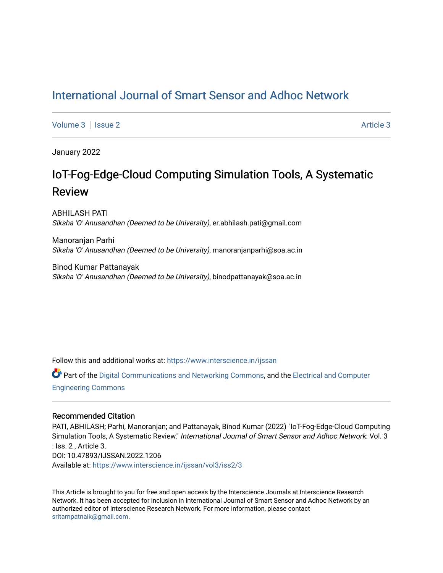## [International Journal of Smart Sensor and Adhoc Network](https://www.interscience.in/ijssan)

[Volume 3](https://www.interscience.in/ijssan/vol3) | [Issue 2](https://www.interscience.in/ijssan/vol3/iss2) Article 3

January 2022

# IoT-Fog-Edge-Cloud Computing Simulation Tools, A Systematic Review

ABHILASH PATI Siksha 'O' Anusandhan (Deemed to be University), er.abhilash.pati@gmail.com

Manoranjan Parhi Siksha 'O' Anusandhan (Deemed to be University), manoranjanparhi@soa.ac.in

Binod Kumar Pattanayak Siksha 'O' Anusandhan (Deemed to be University), binodpattanayak@soa.ac.in

Follow this and additional works at: [https://www.interscience.in/ijssan](https://www.interscience.in/ijssan?utm_source=www.interscience.in%2Fijssan%2Fvol3%2Fiss2%2F3&utm_medium=PDF&utm_campaign=PDFCoverPages) 

Part of the [Digital Communications and Networking Commons,](http://network.bepress.com/hgg/discipline/262?utm_source=www.interscience.in%2Fijssan%2Fvol3%2Fiss2%2F3&utm_medium=PDF&utm_campaign=PDFCoverPages) and the [Electrical and Computer](http://network.bepress.com/hgg/discipline/266?utm_source=www.interscience.in%2Fijssan%2Fvol3%2Fiss2%2F3&utm_medium=PDF&utm_campaign=PDFCoverPages) [Engineering Commons](http://network.bepress.com/hgg/discipline/266?utm_source=www.interscience.in%2Fijssan%2Fvol3%2Fiss2%2F3&utm_medium=PDF&utm_campaign=PDFCoverPages) 

## Recommended Citation

PATI, ABHILASH; Parhi, Manoranjan; and Pattanayak, Binod Kumar (2022) "IoT-Fog-Edge-Cloud Computing Simulation Tools, A Systematic Review," International Journal of Smart Sensor and Adhoc Network: Vol. 3 : Iss. 2 , Article 3. DOI: 10.47893/IJSSAN.2022.1206 Available at: [https://www.interscience.in/ijssan/vol3/iss2/3](https://www.interscience.in/ijssan/vol3/iss2/3?utm_source=www.interscience.in%2Fijssan%2Fvol3%2Fiss2%2F3&utm_medium=PDF&utm_campaign=PDFCoverPages) 

This Article is brought to you for free and open access by the Interscience Journals at Interscience Research Network. It has been accepted for inclusion in International Journal of Smart Sensor and Adhoc Network by an authorized editor of Interscience Research Network. For more information, please contact [sritampatnaik@gmail.com](mailto:sritampatnaik@gmail.com).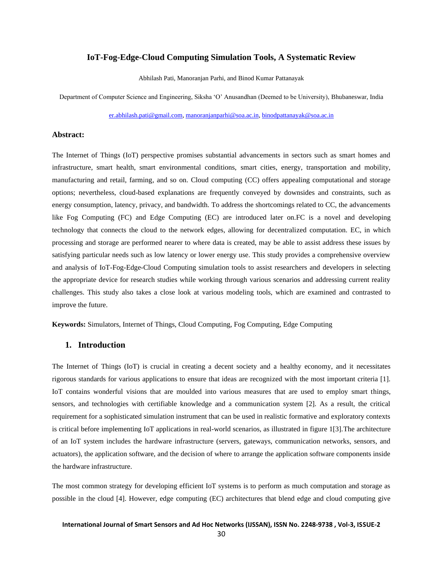## **IoT-Fog-Edge-Cloud Computing Simulation Tools, A Systematic Review**

Abhilash Pati, Manoranjan Parhi, and Binod Kumar Pattanayak

Department of Computer Science and Engineering, Siksha 'O' Anusandhan (Deemed to be University), Bhubaneswar, India

[er.abhilash.pati@gmail.com,](mailto:er.abhilash.pati@gmail.com) [manoranjanparhi@soa.ac.in,](mailto:manoranjanparhi@soa.ac.in) [binodpattanayak@soa.ac.in](mailto:binodpattanayak@soa.ac.in)

## **Abstract:**

The Internet of Things (IoT) perspective promises substantial advancements in sectors such as smart homes and infrastructure, smart health, smart environmental conditions, smart cities, energy, transportation and mobility, manufacturing and retail, farming, and so on. Cloud computing (CC) offers appealing computational and storage options; nevertheless, cloud-based explanations are frequently conveyed by downsides and constraints, such as energy consumption, latency, privacy, and bandwidth. To address the shortcomings related to CC, the advancements like Fog Computing (FC) and Edge Computing (EC) are introduced later on.FC is a novel and developing technology that connects the cloud to the network edges, allowing for decentralized computation. EC, in which processing and storage are performed nearer to where data is created, may be able to assist address these issues by satisfying particular needs such as low latency or lower energy use. This study provides a comprehensive overview and analysis of IoT-Fog-Edge-Cloud Computing simulation tools to assist researchers and developers in selecting the appropriate device for research studies while working through various scenarios and addressing current reality challenges. This study also takes a close look at various modeling tools, which are examined and contrasted to improve the future.

**Keywords:** Simulators, Internet of Things, Cloud Computing, Fog Computing, Edge Computing

## **1. Introduction**

The Internet of Things (IoT) is crucial in creating a decent society and a healthy economy, and it necessitates rigorous standards for various applications to ensure that ideas are recognized with the most important criteria [1]. IoT contains wonderful visions that are moulded into various measures that are used to employ smart things, sensors, and technologies with certifiable knowledge and a communication system [2]. As a result, the critical requirement for a sophisticated simulation instrument that can be used in realistic formative and exploratory contexts is critical before implementing IoT applications in real-world scenarios, as illustrated in figure 1[3].The architecture of an IoT system includes the hardware infrastructure (servers, gateways, communication networks, sensors, and actuators), the application software, and the decision of where to arrange the application software components inside the hardware infrastructure.

The most common strategy for developing efficient IoT systems is to perform as much computation and storage as possible in the cloud [4]. However, edge computing (EC) architectures that blend edge and cloud computing give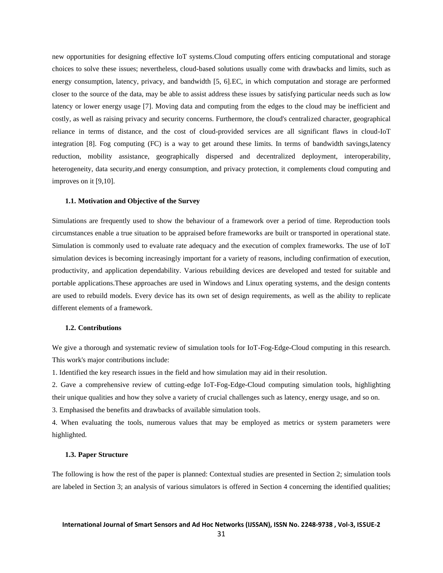new opportunities for designing effective IoT systems.Cloud computing offers enticing computational and storage choices to solve these issues; nevertheless, cloud-based solutions usually come with drawbacks and limits, such as energy consumption, latency, privacy, and bandwidth [5, 6].EC, in which computation and storage are performed closer to the source of the data, may be able to assist address these issues by satisfying particular needs such as low latency or lower energy usage [7]. Moving data and computing from the edges to the cloud may be inefficient and costly, as well as raising privacy and security concerns. Furthermore, the cloud's centralized character, geographical reliance in terms of distance, and the cost of cloud-provided services are all significant flaws in cloud-IoT integration [8]. Fog computing (FC) is a way to get around these limits. In terms of bandwidth savings,latency reduction, mobility assistance, geographically dispersed and decentralized deployment, interoperability, heterogeneity, data security, and energy consumption, and privacy protection, it complements cloud computing and improves on it [9,10].

#### **1.1. Motivation and Objective of the Survey**

Simulations are frequently used to show the behaviour of a framework over a period of time. Reproduction tools circumstances enable a true situation to be appraised before frameworks are built or transported in operational state. Simulation is commonly used to evaluate rate adequacy and the execution of complex frameworks. The use of IoT simulation devices is becoming increasingly important for a variety of reasons, including confirmation of execution, productivity, and application dependability. Various rebuilding devices are developed and tested for suitable and portable applications.These approaches are used in Windows and Linux operating systems, and the design contents are used to rebuild models. Every device has its own set of design requirements, as well as the ability to replicate different elements of a framework.

## **1.2. Contributions**

We give a thorough and systematic review of simulation tools for IoT-Fog-Edge-Cloud computing in this research. This work's major contributions include:

1. Identified the key research issues in the field and how simulation may aid in their resolution.

2. Gave a comprehensive review of cutting-edge IoT-Fog-Edge-Cloud computing simulation tools, highlighting their unique qualities and how they solve a variety of crucial challenges such as latency, energy usage, and so on.

3. Emphasised the benefits and drawbacks of available simulation tools.

4. When evaluating the tools, numerous values that may be employed as metrics or system parameters were highlighted.

## **1.3. Paper Structure**

The following is how the rest of the paper is planned: Contextual studies are presented in Section 2; simulation tools are labeled in Section 3; an analysis of various simulators is offered in Section 4 concerning the identified qualities;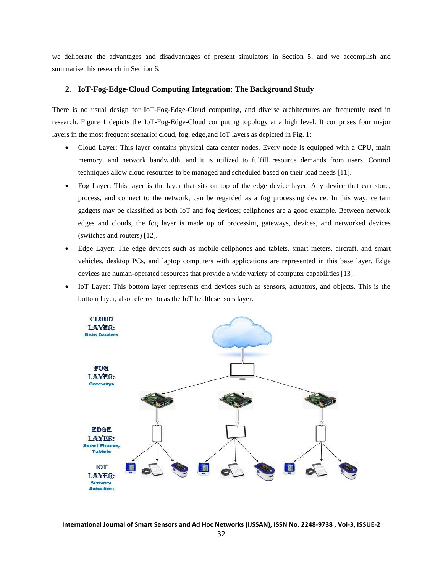we deliberate the advantages and disadvantages of present simulators in Section 5, and we accomplish and summarise this research in Section 6.

## **2. IoT-Fog-Edge-Cloud Computing Integration: The Background Study**

There is no usual design for IoT-Fog-Edge-Cloud computing, and diverse architectures are frequently used in research. Figure 1 depicts the IoT-Fog-Edge-Cloud computing topology at a high level. It comprises four major layers in the most frequent scenario: cloud, fog, edge,and IoT layers as depicted in Fig. 1:

- Cloud Layer: This layer contains physical data center nodes. Every node is equipped with a CPU, main memory, and network bandwidth, and it is utilized to fulfill resource demands from users. Control techniques allow cloud resources to be managed and scheduled based on their load needs [11].
- Fog Layer: This layer is the layer that sits on top of the edge device layer. Any device that can store, process, and connect to the network, can be regarded as a fog processing device. In this way, certain gadgets may be classified as both IoT and fog devices; cellphones are a good example. Between network edges and clouds, the fog layer is made up of processing gateways, devices, and networked devices (switches and routers) [12].
- Edge Layer: The edge devices such as mobile cellphones and tablets, smart meters, aircraft, and smart vehicles, desktop PCs, and laptop computers with applications are represented in this base layer. Edge devices are human-operated resources that provide a wide variety of computer capabilities [13].
- IoT Layer: This bottom layer represents end devices such as sensors, actuators, and objects. This is the bottom layer, also referred to as the IoT health sensors layer.

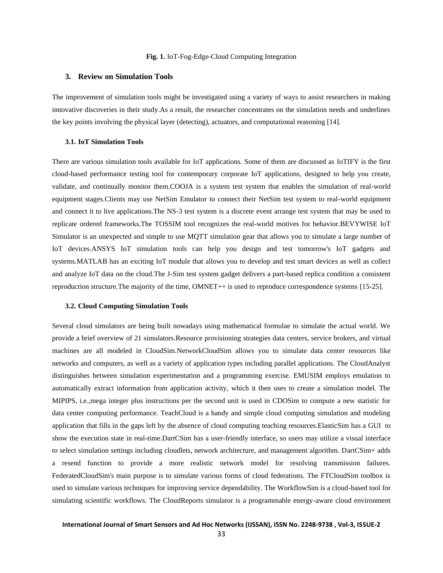#### **Fig. 1.** IoT-Fog-Edge-Cloud Computing Integration

## **3. Review on Simulation Tools**

The improvement of simulation tools might be investigated using a variety of ways to assist researchers in making innovative discoveries in their study.As a result, the researcher concentrates on the simulation needs and underlines the key points involving the physical layer (detecting), actuators, and computational reasoning [14].

#### **3.1. IoT Simulation Tools**

There are various simulation tools available for IoT applications. Some of them are discussed as IoTIFY is the first cloud-based performance testing tool for contemporary corporate IoT applications, designed to help you create, validate, and continually monitor them.COOJA is a system test system that enables the simulation of real-world equipment stages.Clients may use NetSim Emulator to connect their NetSim test system to real-world equipment and connect it to live applications.The NS-3 test system is a discrete event arrange test system that may be used to replicate ordered frameworks.The TOSSIM tool recognizes the real-world motives for behavior.BEVYWISE IoT Simulator is an unexpected and simple to use MQTT simulation gear that allows you to simulate a large number of IoT devices.ANSYS IoT simulation tools can help you design and test tomorrow's IoT gadgets and systems.MATLAB has an exciting IoT module that allows you to develop and test smart devices as well as collect and analyze IoT data on the cloud.The J-Sim test system gadget delivers a part-based replica condition a consistent reproduction structure.The majority of the time, OMNET++ is used to reproduce correspondence systems [15-25].

#### **3.2. Cloud Computing Simulation Tools**

Several cloud simulators are being built nowadays using mathematical formulae to simulate the actual world. We provide a brief overview of 21 simulators.Resource provisioning strategies data centers, service brokers, and virtual machines are all modeled in CloudSim.NetworkCloudSim allows you to simulate data center resources like networks and computers, as well as a variety of application types including parallel applications. The CloudAnalyst distinguishes between simulation experimentation and a programming exercise. EMUSIM employs emulation to automatically extract information from application activity, which it then uses to create a simulation model. The MIPIPS, i.e.,mega integer plus instructions per the second unit is used in CDOSim to compute a new statistic for data center computing performance. TeachCloud is a handy and simple cloud computing simulation and modeling application that fills in the gaps left by the absence of cloud computing teaching resources.ElasticSim has a GUI to show the execution state in real-time.DartCSim has a user-friendly interface, so users may utilize a visual interface to select simulation settings including cloudlets, network architecture, and management algorithm. DartCSim+ adds a resend function to provide a more realistic network model for resolving transmission failures. FederatedCloudSim's main purpose is to simulate various forms of cloud federations. The FTCloudSim toolbox is used to simulate various techniques for improving service dependability. The WorkflowSim is a cloud-based tool for simulating scientific workflows. The CloudReports simulator is a programmable energy-aware cloud environment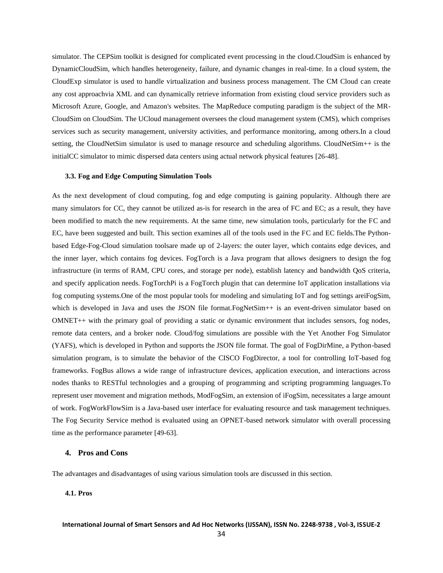simulator. The CEPSim toolkit is designed for complicated event processing in the cloud.CloudSim is enhanced by DynamicCloudSim, which handles heterogeneity, failure, and dynamic changes in real-time. In a cloud system, the CloudExp simulator is used to handle virtualization and business process management. The CM Cloud can create any cost approachvia XML and can dynamically retrieve information from existing cloud service providers such as Microsoft Azure, Google, and Amazon's websites. The MapReduce computing paradigm is the subject of the MR-CloudSim on CloudSim. The UCloud management oversees the cloud management system (CMS), which comprises services such as security management, university activities, and performance monitoring, among others.In a cloud setting, the CloudNetSim simulator is used to manage resource and scheduling algorithms. CloudNetSim++ is the initialCC simulator to mimic dispersed data centers using actual network physical features [26-48].

## **3.3. Fog and Edge Computing Simulation Tools**

As the next development of cloud computing, fog and edge computing is gaining popularity. Although there are many simulators for CC, they cannot be utilized as-is for research in the area of FC and EC; as a result, they have been modified to match the new requirements. At the same time, new simulation tools, particularly for the FC and EC, have been suggested and built. This section examines all of the tools used in the FC and EC fields.The Pythonbased Edge-Fog-Cloud simulation toolsare made up of 2-layers: the outer layer, which contains edge devices, and the inner layer, which contains fog devices. FogTorch is a Java program that allows designers to design the fog infrastructure (in terms of RAM, CPU cores, and storage per node), establish latency and bandwidth QoS criteria, and specify application needs. FogTorchPi is a FogTorch plugin that can determine IoT application installations via fog computing systems.One of the most popular tools for modeling and simulating IoT and fog settings areiFogSim, which is developed in Java and uses the JSON file format.FogNetSim++ is an event-driven simulator based on OMNET++ with the primary goal of providing a static or dynamic environment that includes sensors, fog nodes, remote data centers, and a broker node. Cloud/fog simulations are possible with the Yet Another Fog Simulator (YAFS), which is developed in Python and supports the JSON file format. The goal of FogDirMine, a Python-based simulation program, is to simulate the behavior of the CISCO FogDirector, a tool for controlling IoT-based fog frameworks. FogBus allows a wide range of infrastructure devices, application execution, and interactions across nodes thanks to RESTful technologies and a grouping of programming and scripting programming languages.To represent user movement and migration methods, ModFogSim, an extension of iFogSim, necessitates a large amount of work. FogWorkFlowSim is a Java-based user interface for evaluating resource and task management techniques. The Fog Security Service method is evaluated using an OPNET-based network simulator with overall processing time as the performance parameter [49-63].

## **4. Pros and Cons**

The advantages and disadvantages of using various simulation tools are discussed in this section.

## **4.1. Pros**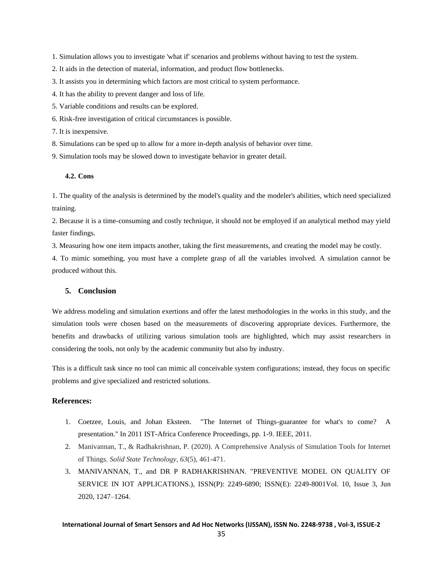- 1. Simulation allows you to investigate 'what if' scenarios and problems without having to test the system.
- 2. It aids in the detection of material, information, and product flow bottlenecks.
- 3. It assists you in determining which factors are most critical to system performance.
- 4. It has the ability to prevent danger and loss of life.
- 5. Variable conditions and results can be explored.
- 6. Risk-free investigation of critical circumstances is possible.
- 7. It is inexpensive.
- 8. Simulations can be sped up to allow for a more in-depth analysis of behavior over time.
- 9. Simulation tools may be slowed down to investigate behavior in greater detail.

## **4.2. Cons**

1. The quality of the analysis is determined by the model's quality and the modeler's abilities, which need specialized training.

2. Because it is a time-consuming and costly technique, it should not be employed if an analytical method may yield faster findings.

3. Measuring how one item impacts another, taking the first measurements, and creating the model may be costly.

4. To mimic something, you must have a complete grasp of all the variables involved. A simulation cannot be produced without this.

## **5. Conclusion**

We address modeling and simulation exertions and offer the latest methodologies in the works in this study, and the simulation tools were chosen based on the measurements of discovering appropriate devices. Furthermore, the benefits and drawbacks of utilizing various simulation tools are highlighted, which may assist researchers in considering the tools, not only by the academic community but also by industry.

This is a difficult task since no tool can mimic all conceivable system configurations; instead, they focus on specific problems and give specialized and restricted solutions.

## **References:**

- 1. Coetzee, Louis, and Johan Eksteen. "The Internet of Things-guarantee for what's to come? A presentation." In 2011 IST-Africa Conference Proceedings, pp. 1-9. IEEE, 2011.
- 2. Manivannan, T., & Radhakrishnan, P. (2020). A Comprehensive Analysis of Simulation Tools for Internet of Things. *Solid State Technology*, *63*(5), 461-471.
- 3. MANIVANNAN, T., and DR P RADHAKRISHNAN. "PREVENTIVE MODEL ON QUALITY OF SERVICE IN IOT APPLICATIONS.), ISSN(P): 2249-6890; ISSN(E): 2249-8001Vol. 10, Issue 3, Jun 2020, 1247–1264.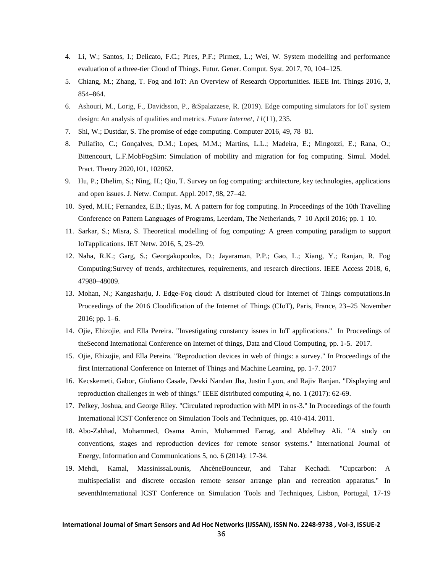- 4. Li, W.; Santos, I.; Delicato, F.C.; Pires, P.F.; Pirmez, L.; Wei, W. System modelling and performance evaluation of a three-tier Cloud of Things. Futur. Gener. Comput. Syst. 2017, 70, 104–125.
- 5. Chiang, M.; Zhang, T. Fog and IoT: An Overview of Research Opportunities. IEEE Int. Things 2016, 3, 854–864.
- 6. Ashouri, M., Lorig, F., Davidsson, P., &Spalazzese, R. (2019). Edge computing simulators for IoT system design: An analysis of qualities and metrics. *Future Internet*, *11*(11), 235.
- 7. Shi, W.; Dustdar, S. The promise of edge computing. Computer 2016, 49, 78–81.
- 8. Puliafito, C.; Gonçalves, D.M.; Lopes, M.M.; Martins, L.L.; Madeira, E.; Mingozzi, E.; Rana, O.; Bittencourt, L.F.MobFogSim: Simulation of mobility and migration for fog computing. Simul. Model. Pract. Theory 2020,101, 102062.
- 9. Hu, P.; Dhelim, S.; Ning, H.; Qiu, T. Survey on fog computing: architecture, key technologies, applications and open issues. J. Netw. Comput. Appl. 2017, 98, 27–42.
- 10. Syed, M.H.; Fernandez, E.B.; Ilyas, M. A pattern for fog computing. In Proceedings of the 10th Travelling Conference on Pattern Languages of Programs, Leerdam, The Netherlands, 7–10 April 2016; pp. 1–10.
- 11. Sarkar, S.; Misra, S. Theoretical modelling of fog computing: A green computing paradigm to support IoTapplications. IET Netw. 2016, 5, 23–29.
- 12. Naha, R.K.; Garg, S.; Georgakopoulos, D.; Jayaraman, P.P.; Gao, L.; Xiang, Y.; Ranjan, R. Fog Computing:Survey of trends, architectures, requirements, and research directions. IEEE Access 2018, 6, 47980–48009.
- 13. Mohan, N.; Kangasharju, J. Edge-Fog cloud: A distributed cloud for Internet of Things computations.In Proceedings of the 2016 Cloudification of the Internet of Things (CIoT), Paris, France, 23–25 November 2016; pp. 1–6.
- 14. Ojie, Ehizojie, and Ella Pereira. "Investigating constancy issues in IoT applications." In Proceedings of theSecond International Conference on Internet of things, Data and Cloud Computing, pp. 1-5. 2017.
- 15. Ojie, Ehizojie, and Ella Pereira. "Reproduction devices in web of things: a survey." In Proceedings of the first International Conference on Internet of Things and Machine Learning, pp. 1-7. 2017
- 16. Kecskemeti, Gabor, Giuliano Casale, Devki Nandan Jha, Justin Lyon, and Rajiv Ranjan. "Displaying and reproduction challenges in web of things." IEEE distributed computing 4, no. 1 (2017): 62-69.
- 17. Pelkey, Joshua, and George Riley. "Circulated reproduction with MPI in ns-3." In Proceedings of the fourth International ICST Conference on Simulation Tools and Techniques, pp. 410-414. 2011.
- 18. Abo-Zahhad, Mohammed, Osama Amin, Mohammed Farrag, and Abdelhay Ali. "A study on conventions, stages and reproduction devices for remote sensor systems." International Journal of Energy, Information and Communications 5, no. 6 (2014): 17-34.
- 19. Mehdi, Kamal, MassinissaLounis, AhcèneBounceur, and Tahar Kechadi. "Cupcarbon: A multispecialist and discrete occasion remote sensor arrange plan and recreation apparatus." In seventhInternational ICST Conference on Simulation Tools and Techniques, Lisbon, Portugal, 17-19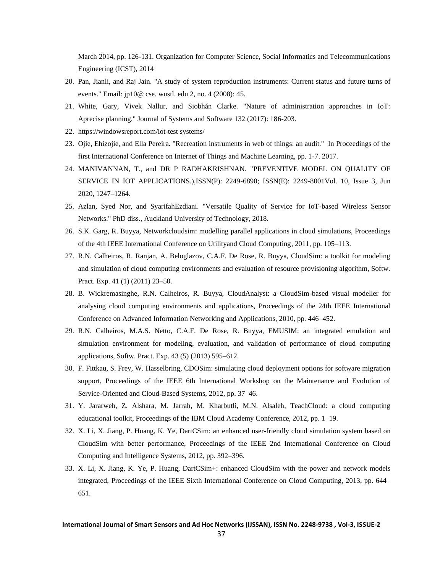March 2014, pp. 126-131. Organization for Computer Science, Social Informatics and Telecommunications Engineering (ICST), 2014

- 20. Pan, Jianli, and Raj Jain. "A study of system reproduction instruments: Current status and future turns of events." Email: jp10@ cse. wustl. edu 2, no. 4 (2008): 45.
- 21. White, Gary, Vivek Nallur, and Siobhán Clarke. "Nature of administration approaches in IoT: Aprecise planning." Journal of Systems and Software 132 (2017): 186-203.
- 22. https://windowsreport.com/iot-test systems/
- 23. Ojie, Ehizojie, and Ella Pereira. "Recreation instruments in web of things: an audit." In Proceedings of the first International Conference on Internet of Things and Machine Learning, pp. 1-7. 2017.
- 24. MANIVANNAN, T., and DR P RADHAKRISHNAN. "PREVENTIVE MODEL ON QUALITY OF SERVICE IN IOT APPLICATIONS.),ISSN(P): 2249-6890; ISSN(E): 2249-8001Vol. 10, Issue 3, Jun 2020, 1247–1264.
- 25. Azlan, Syed Nor, and SyarifahEzdiani. "Versatile Quality of Service for IoT-based Wireless Sensor Networks." PhD diss., Auckland University of Technology, 2018.
- 26. S.K. Garg, R. Buyya, Networkcloudsim: modelling parallel applications in cloud simulations, Proceedings of the 4th IEEE International Conference on Utilityand Cloud Computing, 2011, pp. 105–113.
- 27. R.N. Calheiros, R. Ranjan, A. Beloglazov, C.A.F. De Rose, R. Buyya, CloudSim: a toolkit for modeling and simulation of cloud computing environments and evaluation of resource provisioning algorithm, Softw. Pract. Exp. 41 (1) (2011) 23–50.
- 28. B. Wickremasinghe, R.N. Calheiros, R. Buyya, CloudAnalyst: a CloudSim-based visual modeller for analysing cloud computing environments and applications, Proceedings of the 24th IEEE International Conference on Advanced Information Networking and Applications, 2010, pp. 446–452.
- 29. R.N. Calheiros, M.A.S. Netto, C.A.F. De Rose, R. Buyya, EMUSIM: an integrated emulation and simulation environment for modeling, evaluation, and validation of performance of cloud computing applications, Softw. Pract. Exp. 43 (5) (2013) 595–612.
- 30. F. Fittkau, S. Frey, W. Hasselbring, CDOSim: simulating cloud deployment options for software migration support, Proceedings of the IEEE 6th International Workshop on the Maintenance and Evolution of Service-Oriented and Cloud-Based Systems, 2012, pp. 37–46.
- 31. Y. Jararweh, Z. Alshara, M. Jarrah, M. Kharbutli, M.N. Alsaleh, TeachCloud: a cloud computing educational toolkit, Proceedings of the IBM Cloud Academy Conference, 2012, pp. 1–19.
- 32. X. Li, X. Jiang, P. Huang, K. Ye, DartCSim: an enhanced user-friendly cloud simulation system based on CloudSim with better performance, Proceedings of the IEEE 2nd International Conference on Cloud Computing and Intelligence Systems, 2012, pp. 392–396.
- 33. X. Li, X. Jiang, K. Ye, P. Huang, DartCSim+: enhanced CloudSim with the power and network models integrated, Proceedings of the IEEE Sixth International Conference on Cloud Computing, 2013, pp. 644– 651.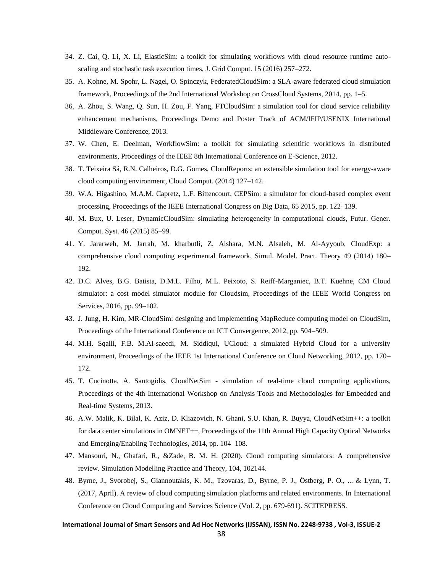- 34. Z. Cai, Q. Li, X. Li, ElasticSim: a toolkit for simulating workflows with cloud resource runtime autoscaling and stochastic task execution times, J. Grid Comput. 15 (2016) 257–272.
- 35. A. Kohne, M. Spohr, L. Nagel, O. Spinczyk, FederatedCloudSim: a SLA-aware federated cloud simulation framework, Proceedings of the 2nd International Workshop on CrossCloud Systems, 2014, pp. 1–5.
- 36. A. Zhou, S. Wang, Q. Sun, H. Zou, F. Yang, FTCloudSim: a simulation tool for cloud service reliability enhancement mechanisms, Proceedings Demo and Poster Track of ACM/IFIP/USENIX International Middleware Conference, 2013.
- 37. W. Chen, E. Deelman, WorkflowSim: a toolkit for simulating scientific workflows in distributed environments, Proceedings of the IEEE 8th International Conference on E-Science, 2012.
- 38. T. Teixeira Sá, R.N. Calheiros, D.G. Gomes, CloudReports: an extensible simulation tool for energy-aware cloud computing environment, Cloud Comput. (2014) 127–142.
- 39. W.A. Higashino, M.A.M. Capretz, L.F. Bittencourt, CEPSim: a simulator for cloud-based complex event processing, Proceedings of the IEEE International Congress on Big Data, 65 2015, pp. 122–139.
- 40. M. Bux, U. Leser, DynamicCloudSim: simulating heterogeneity in computational clouds, Futur. Gener. Comput. Syst. 46 (2015) 85–99.
- 41. Y. Jararweh, M. Jarrah, M. kharbutli, Z. Alshara, M.N. Alsaleh, M. Al-Ayyoub, CloudExp: a comprehensive cloud computing experimental framework, Simul. Model. Pract. Theory 49 (2014) 180– 192.
- 42. D.C. Alves, B.G. Batista, D.M.L. Filho, M.L. Peixoto, S. Reiff-Marganiec, B.T. Kuehne, CM Cloud simulator: a cost model simulator module for Cloudsim, Proceedings of the IEEE World Congress on Services, 2016, pp. 99–102.
- 43. J. Jung, H. Kim, MR-CloudSim: designing and implementing MapReduce computing model on CloudSim, Proceedings of the International Conference on ICT Convergence, 2012, pp. 504–509.
- 44. M.H. Sqalli, F.B. M.Al-saeedi, M. Siddiqui, UCloud: a simulated Hybrid Cloud for a university environment, Proceedings of the IEEE 1st International Conference on Cloud Networking, 2012, pp. 170– 172.
- 45. T. Cucinotta, A. Santogidis, CloudNetSim simulation of real-time cloud computing applications, Proceedings of the 4th International Workshop on Analysis Tools and Methodologies for Embedded and Real-time Systems, 2013.
- 46. A.W. Malik, K. Bilal, K. Aziz, D. Kliazovich, N. Ghani, S.U. Khan, R. Buyya, CloudNetSim++: a toolkit for data center simulations in OMNET++, Proceedings of the 11th Annual High Capacity Optical Networks and Emerging/Enabling Technologies, 2014, pp. 104–108.
- 47. Mansouri, N., Ghafari, R., &Zade, B. M. H. (2020). Cloud computing simulators: A comprehensive review. Simulation Modelling Practice and Theory, 104, 102144.
- 48. Byrne, J., Svorobej, S., Giannoutakis, K. M., Tzovaras, D., Byrne, P. J., Östberg, P. O., ... & Lynn, T. (2017, April). A review of cloud computing simulation platforms and related environments. In International Conference on Cloud Computing and Services Science (Vol. 2, pp. 679-691). SCITEPRESS.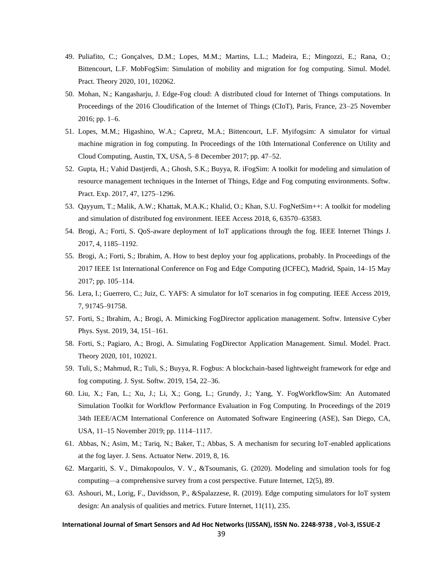- 49. Puliafito, C.; Gonçalves, D.M.; Lopes, M.M.; Martins, L.L.; Madeira, E.; Mingozzi, E.; Rana, O.; Bittencourt, L.F. MobFogSim: Simulation of mobility and migration for fog computing. Simul. Model. Pract. Theory 2020, 101, 102062.
- 50. Mohan, N.; Kangasharju, J. Edge-Fog cloud: A distributed cloud for Internet of Things computations. In Proceedings of the 2016 Cloudification of the Internet of Things (CIoT), Paris, France, 23–25 November 2016; pp. 1–6.
- 51. Lopes, M.M.; Higashino, W.A.; Capretz, M.A.; Bittencourt, L.F. Myifogsim: A simulator for virtual machine migration in fog computing. In Proceedings of the 10th International Conference on Utility and Cloud Computing, Austin, TX, USA, 5–8 December 2017; pp. 47–52.
- 52. Gupta, H.; Vahid Dastjerdi, A.; Ghosh, S.K.; Buyya, R. iFogSim: A toolkit for modeling and simulation of resource management techniques in the Internet of Things, Edge and Fog computing environments. Softw. Pract. Exp. 2017, 47, 1275–1296.
- 53. Qayyum, T.; Malik, A.W.; Khattak, M.A.K.; Khalid, O.; Khan, S.U. FogNetSim++: A toolkit for modeling and simulation of distributed fog environment. IEEE Access 2018, 6, 63570–63583.
- 54. Brogi, A.; Forti, S. QoS-aware deployment of IoT applications through the fog. IEEE Internet Things J. 2017, 4, 1185–1192.
- 55. Brogi, A.; Forti, S.; Ibrahim, A. How to best deploy your fog applications, probably. In Proceedings of the 2017 IEEE 1st International Conference on Fog and Edge Computing (ICFEC), Madrid, Spain, 14–15 May 2017; pp. 105–114.
- 56. Lera, I.; Guerrero, C.; Juiz, C. YAFS: A simulator for IoT scenarios in fog computing. IEEE Access 2019, 7, 91745–91758.
- 57. Forti, S.; Ibrahim, A.; Brogi, A. Mimicking FogDirector application management. Softw. Intensive Cyber Phys. Syst. 2019, 34, 151–161.
- 58. Forti, S.; Pagiaro, A.; Brogi, A. Simulating FogDirector Application Management. Simul. Model. Pract. Theory 2020, 101, 102021.
- 59. Tuli, S.; Mahmud, R.; Tuli, S.; Buyya, R. Fogbus: A blockchain-based lightweight framework for edge and fog computing. J. Syst. Softw. 2019, 154, 22–36.
- 60. Liu, X.; Fan, L.; Xu, J.; Li, X.; Gong, L.; Grundy, J.; Yang, Y. FogWorkflowSim: An Automated Simulation Toolkit for Workflow Performance Evaluation in Fog Computing. In Proceedings of the 2019 34th IEEE/ACM International Conference on Automated Software Engineering (ASE), San Diego, CA, USA, 11–15 November 2019; pp. 1114–1117.
- 61. Abbas, N.; Asim, M.; Tariq, N.; Baker, T.; Abbas, S. A mechanism for securing IoT-enabled applications at the fog layer. J. Sens. Actuator Netw. 2019, 8, 16.
- 62. Margariti, S. V., Dimakopoulos, V. V., &Tsoumanis, G. (2020). Modeling and simulation tools for fog computing—a comprehensive survey from a cost perspective. Future Internet, 12(5), 89.
- 63. Ashouri, M., Lorig, F., Davidsson, P., &Spalazzese, R. (2019). Edge computing simulators for IoT system design: An analysis of qualities and metrics. Future Internet, 11(11), 235.